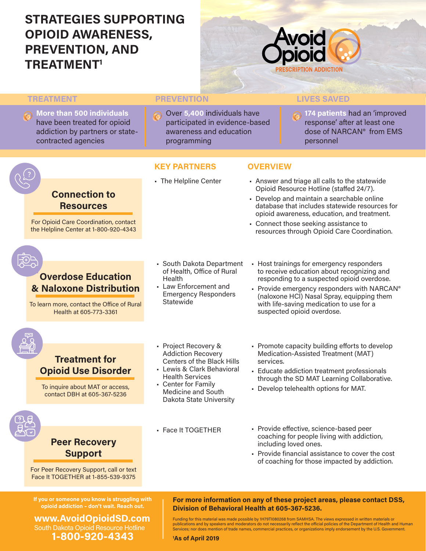# **STRATEGIES SUPPORTING OPIOID AWARENESS, PREVENTION, AND TREATMENT1**



**OVERVIEW**

### **TREATMENT**

**More than 500 individuals**  have been treated for opioid addiction by partners or statecontracted agencies

### **PREVENTION LIVES SAVED**

**KEY PARTNERS**

• The Helpline Center

Over **5,400** individuals have participated in evidence-based awareness and education programming

**174 patients** had an 'improved response' after at least one dose of NARCAN® from EMS personnel

# **Connection to Resources**

For Opioid Care Coordination, contact the Helpline Center at 1-800-920-4343

### **Overdose Education & Naloxone Distribution**

To learn more, contact the Office of Rural Health at 605-773-3361

- South Dakota Department of Health, Office of Rural Health
- Law Enforcement and Emergency Responders Statewide<sup>1</sup>
- Host trainings for emergency responders to receive education about recognizing and responding to a suspected opioid overdose.

resources through Opioid Care Coordination.

• Answer and triage all calls to the statewide Opioid Resource Hotline (staffed 24/7). • Develop and maintain a searchable online database that includes statewide resources for opioid awareness, education, and treatment.

• Connect those seeking assistance to

• Provide emergency responders with NARCAN<sup>®</sup> (naloxone HCl) Nasal Spray, equipping them with life-saving medication to use for a suspected opioid overdose.



## **Treatment for Opioid Use Disorder**

To inquire about MAT or access, contact DBH at 605-367-5236

- Project Recovery & Addiction Recovery Centers of the Black Hills
- Lewis & Clark Behavioral Health Services
- Center for Family Medicine and South Dakota State University
- Face It TOGETHER
- Promote capacity building efforts to develop Medication-Assisted Treatment (MAT) services.
- Educate addiction treatment professionals through the SD MAT Learning Collaborative.
- Develop telehealth options for MAT.
- Provide effective, science-based peer coaching for people living with addiction, including loved ones.
- Provide financial assistance to cover the cost of coaching for those impacted by addiction.

**If you or someone you know is struggling with opioid addiction – don't wait. Reach out.**

For Peer Recovery Support, call or text Face It TOGETHER at 1-855-539-9375

**Peer Recovery Support**

**www.AvoidOpioidSD.com** South Dakota Opioid Resource Hotline **1-800-920-4343**

**For more information on any of these project areas, please contact DSS, Division of Behavioral Health at 605-367-5236.**

Funding for this material was made possible by 1H79T1080268 from SAMHSA. The views expressed in written materials or<br>publications and by speakers and moderators do not necessarily reflect the official policies of the Depar Services; nor does mention of trade names, commercial practices, or organizations imply endorsement by the U.S. Government.

**1 As of April 2019**